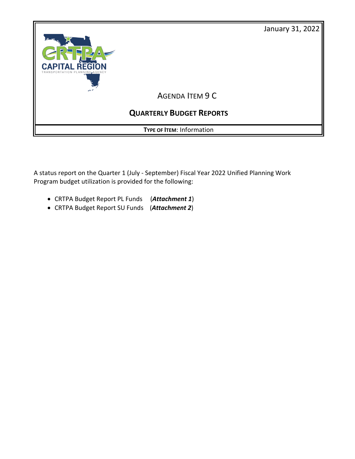



A status report on the Quarter 1 (July - September) Fiscal Year 2022 Unified Planning Work Program budget utilization is provided for the following:

- CRTPA Budget Report PL Funds (*Attachment 1*)
- CRTPA Budget Report SU Funds (*Attachment 2*)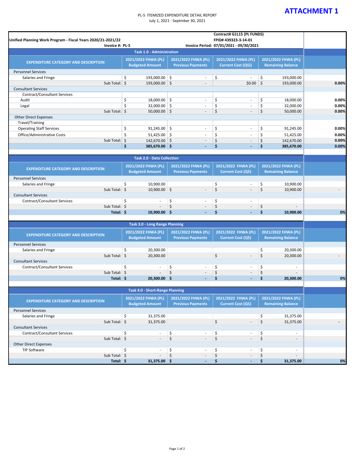## **ATTACHMENT 1**

## PL-5 ITEMIZED EXPENDITURE DETAIL REPORT July 1, 2021 - Septmber 30, 2021

| Unified Planning Work Program - Fiscal Years 2020/21-2021/22<br>Invoice #: PL-5 |                                               |                                                 | Contract# G1L15 (PL FUNDS)<br>FPID# 439323-3-14-01<br>Invoice Period: 07/01/2021 - 09/30/2021 |                                                 |       |
|---------------------------------------------------------------------------------|-----------------------------------------------|-------------------------------------------------|-----------------------------------------------------------------------------------------------|-------------------------------------------------|-------|
|                                                                                 | <b>Task 1.0 - Administration</b>              |                                                 |                                                                                               |                                                 |       |
| <b>EXPENDITURE CATEGORY AND DESCRIPTION</b>                                     | 2021/2022 FHWA (PL)<br><b>Budgeted Amount</b> | 2021/2022 FHWA (PL)<br><b>Previous Payments</b> | 2021/2022 FHWA (PL)<br>Current Cost (Q5))                                                     | 2021/2022 FHWA (PL)<br><b>Remaining Balance</b> |       |
| <b>Personnel Services</b>                                                       |                                               |                                                 |                                                                                               |                                                 |       |
| Salaries and Fringe                                                             | \$<br>193,000.00 \$                           |                                                 | \$                                                                                            | \$<br>193,000.00                                |       |
| Sub Total: $\frac{1}{2}$                                                        | 193,000.00 \$                                 |                                                 | $$0.00$ \$                                                                                    | 193,000.00                                      | 0.00% |
| <b>Consultant Services</b>                                                      |                                               |                                                 |                                                                                               |                                                 |       |
| Contract/Consultant Services                                                    |                                               |                                                 |                                                                                               |                                                 |       |
| Audit                                                                           | \$<br>$18,000.00$ \$                          | $\overline{\phantom{a}}$                        | \$<br>$\overline{\phantom{a}}$                                                                | \$<br>18,000.00                                 | 0.00% |
| Legal                                                                           | \$<br>$32,000.00$ \$                          | ÷,                                              | \$<br>$\sim$                                                                                  | \$<br>32,000.00                                 | 0.00% |
| Sub Total: $\oint$                                                              | $50,000.00$ \$                                | $\overline{\phantom{a}}$                        | \$<br>$\blacksquare$                                                                          | \$<br>50,000.00                                 | 0.00% |
| <b>Other Direct Expenses</b>                                                    |                                               |                                                 |                                                                                               |                                                 |       |
| Travel/Training                                                                 | \$                                            |                                                 |                                                                                               |                                                 |       |
| <b>Operating Staff Services</b>                                                 | $91,245.00$ \$                                | $\overline{\phantom{a}}$                        | \$<br>$\overline{\phantom{a}}$                                                                | \$<br>91,245.00                                 | 0.00% |
| Office/Administrative Costs                                                     | \$<br>$51,425.00$ \$                          | ÷,                                              | \$<br>$\sim$                                                                                  | \$<br>51,425.00                                 | 0.00% |
| Sub Total:                                                                      | $\zeta$<br>142,670.00 \$                      | $\overline{a}$                                  | \$<br>$\blacksquare$                                                                          | \$<br>142,670.00                                | 0.00% |
|                                                                                 | \$<br>385,670.00 \$                           | $\blacksquare$                                  | \$<br>$\blacksquare$                                                                          | \$<br>385,670.00                                | 0.00% |
|                                                                                 | <b>Task 2.0 - Data Collection</b>             |                                                 |                                                                                               |                                                 |       |
|                                                                                 |                                               |                                                 |                                                                                               |                                                 |       |
| <b>EXPENDITURE CATEGORY AND DESCRIPTION</b>                                     | 2021/2022 FHWA (PL)<br><b>Budgeted Amount</b> | 2021/2022 FHWA (PL)<br><b>Previous Payments</b> | 2021/2022 FHWA (PL)<br><b>Current Cost (Q5)</b>                                               | 2021/2022 FHWA (PL)<br><b>Remaining Balance</b> |       |
| <b>Personnel Services</b>                                                       |                                               |                                                 |                                                                                               |                                                 |       |
| Salaries and Fringe                                                             | \$<br>10,900.00                               |                                                 | \$                                                                                            | \$<br>10,900.00                                 |       |
| Sub Total: \$                                                                   | $10,900.00$ \$                                | $\overline{\phantom{a}}$                        | \$<br>$\overline{\phantom{a}}$                                                                | \$<br>10,900.00                                 |       |
| <b>Consultant Services</b>                                                      |                                               |                                                 |                                                                                               |                                                 |       |
| <b>Contract/Consultant Services</b>                                             | \$<br>$\sim$                                  | \$                                              | \$                                                                                            |                                                 |       |
| Sub Total: \$                                                                   |                                               | \$<br>$\overline{\phantom{a}}$                  | \$                                                                                            | \$                                              |       |
| Total: \$                                                                       | $10,900.00$ \$                                |                                                 | \$                                                                                            | \$<br>10,900.00                                 | 0%    |
|                                                                                 | <b>Task 3.0 - Long Range Planning</b>         |                                                 |                                                                                               |                                                 |       |
|                                                                                 | 2021/2022 FHWA (PL)                           | 2021/2022 FHWA (PL)                             | 2021/2022 FHWA (PL)                                                                           | 2021/2022 FHWA (PL)                             |       |
| <b>EXPENDITURE CATEGORY AND DESCRIPTION</b>                                     | <b>Budgeted Amount</b>                        | <b>Previous Payments</b>                        | <b>Current Cost (Q5)</b>                                                                      | <b>Remaining Balance</b>                        |       |
| <b>Personnel Services</b>                                                       |                                               |                                                 |                                                                                               |                                                 |       |
| Salaries and Fringe                                                             | \$<br>20,300.00                               |                                                 |                                                                                               | \$<br>20,300.00                                 |       |
| Sub Total: \$                                                                   | 20,300.00                                     |                                                 | \$                                                                                            | \$<br>20,300.00                                 |       |
| <b>Consultant Services</b>                                                      |                                               |                                                 |                                                                                               |                                                 |       |
| <b>Contract/Consultant Services</b>                                             | \$<br>$\overline{\phantom{a}}$                | \$<br>$\blacksquare$                            | \$<br>$\overline{a}$                                                                          | \$<br>$\sim$                                    |       |
| Sub Total: \$                                                                   | $\blacksquare$                                | \$<br>$\overline{\phantom{a}}$                  | \$<br>$\overline{\phantom{a}}$                                                                | \$<br>$\sim$                                    |       |
| Total: \$                                                                       | $20,300.00$ \$                                |                                                 | \$                                                                                            | \$<br>20,300.00                                 | 0%    |
|                                                                                 |                                               |                                                 |                                                                                               |                                                 |       |
|                                                                                 | <b>Task 4.0 - Short-Range Planning</b>        |                                                 |                                                                                               |                                                 |       |
| <b>EXPENDITURE CATEGORY AND DESCRIPTION</b>                                     | 2021/2022 FHWA (PL)<br><b>Budgeted Amount</b> | 2021/2022 FHWA (PL)<br><b>Previous Payments</b> | 2021/2022 FHWA (PL)<br><b>Current Cost (Q5)</b>                                               | 2021/2022 FHWA (PL)<br><b>Remaining Balance</b> |       |
| <b>Personnel Services</b>                                                       |                                               |                                                 |                                                                                               |                                                 |       |
| Salaries and Fringe                                                             | \$<br>31,375.00                               |                                                 |                                                                                               | \$<br>31,375.00                                 |       |
| Sub Total: \$                                                                   | 31,375.00                                     |                                                 | \$<br>$\overline{a}$                                                                          | \$<br>31,375.00                                 |       |
| <b>Consultant Services</b>                                                      |                                               |                                                 |                                                                                               |                                                 |       |
| <b>Contract/Consultant Services</b>                                             | \$<br>$\overline{\phantom{a}}$                | \$<br>$\blacksquare$                            | \$<br>$\blacksquare$                                                                          | \$<br>٠                                         |       |
| Sub Total: \$                                                                   | $\overline{\phantom{a}}$                      | \$                                              | \$                                                                                            | \$<br>$\sim$                                    |       |
| <b>Other Direct Expenses</b>                                                    |                                               |                                                 |                                                                                               |                                                 |       |
| TIP Software                                                                    | \$<br>$\overline{\phantom{a}}$                | \$<br>$\blacksquare$                            | \$<br>$\blacksquare$                                                                          | \$<br>$\overline{\phantom{a}}$                  |       |
| Sub Total: \$                                                                   | $\overline{\phantom{a}}$                      | \$<br>$\overline{\phantom{a}}$                  | \$<br>$\overline{\phantom{a}}$                                                                | \$<br>$\sim$                                    |       |
| Total: \$                                                                       | $31,375.00$ \$                                |                                                 | \$                                                                                            | \$<br>31,375.00                                 | 0%    |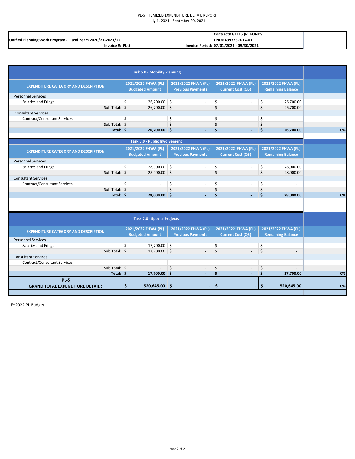## PL-5 ITEMIZED EXPENDITURE DETAIL REPORT July 1, 2021 - Septmber 30, 2021

|                                                              | Contract# G1L15 (PL FUNDS)              |  |
|--------------------------------------------------------------|-----------------------------------------|--|
| Unified Planning Work Program - Fiscal Years 2020/21-2021/22 | FPID#439323-3-14-01                     |  |
| Invoice #: PL-5                                              | Invoice Period: 07/01/2021 - 09/30/2021 |  |

|                                             | <b>Task 5.0 - Mobility Planning</b>  |                          |                          |                          |    |
|---------------------------------------------|--------------------------------------|--------------------------|--------------------------|--------------------------|----|
| <b>EXPENDITURE CATEGORY AND DESCRIPTION</b> | 2021/2022 FHWA (PL)                  | 2021/2022 FHWA (PL)      | 2021/2022 FHWA (PL)      | 2021/2022 FHWA (PL)      |    |
|                                             | <b>Budgeted Amount</b>               | <b>Previous Payments</b> | <b>Current Cost (Q5)</b> | <b>Remaining Balance</b> |    |
| <b>Personnel Services</b>                   |                                      |                          |                          |                          |    |
| Salaries and Fringe                         | \$<br>26,700.00 \$                   |                          | \$                       | \$<br>26,700.00          |    |
| Sub Total: \$                               | 26,700.00 \$                         |                          | \$<br>÷.                 | \$<br>26,700.00          |    |
| <b>Consultant Services</b>                  |                                      |                          |                          |                          |    |
| <b>Contract/Consultant Services</b>         | \$                                   | \$                       | \$                       | \$<br>÷.                 |    |
| Sub Total: \$                               |                                      | \$                       | \$                       | \$                       |    |
| Total: \$                                   | 26,700.00 \$                         |                          | Ś                        | Ś<br>26,700.00           | 0% |
|                                             |                                      |                          |                          |                          |    |
|                                             | <b>Task 6.0 - Public Involvement</b> |                          |                          |                          |    |
|                                             | 2021/2022 FHWA (PL)                  | 2021/2022 FHWA (PL)      | 2021/2022 FHWA (PL)      | 2021/2022 FHWA (PL)      |    |
| <b>EXPENDITURE CATEGORY AND DESCRIPTION</b> | <b>Budgeted Amount</b>               | <b>Previous Payments</b> | <b>Current Cost (Q5)</b> | <b>Remaining Balance</b> |    |
| <b>Personnel Services</b>                   |                                      |                          |                          |                          |    |
| Salaries and Fringe                         | 28,000.00 \$<br>\$                   |                          | \$                       | \$<br>28,000.00          |    |
| Sub Total: \$                               | 28,000.00 \$                         |                          | $\zeta$                  | \$<br>28,000.00          |    |
| <b>Consultant Services</b>                  |                                      |                          |                          |                          |    |
| <b>Contract/Consultant Services</b>         | \$                                   | \$                       | \$                       | \$                       |    |
| Sub Total: \$                               |                                      | $\dot{\mathsf{S}}$       | $\boldsymbol{\zeta}$     | \$<br>÷                  |    |
| Total: \$                                   | 28,000.00 \$                         |                          | \$                       | \$<br>28,000.00          | 0% |
|                                             | <b>Task 7.0 - Special Projects</b>   |                          |                          |                          |    |
|                                             | 2021/2022 FHWA (PL)                  | 2021/2022 FHWA (PL)      | 2021/2022 FHWA (PL)      | 2021/2022 FHWA (PL)      |    |
| <b>EXPENDITURE CATEGORY AND DESCRIPTION</b> | <b>Budgeted Amount</b>               | <b>Previous Payments</b> | <b>Current Cost (Q5)</b> | <b>Remaining Balance</b> |    |
| <b>Personnel Services</b>                   |                                      |                          |                          |                          |    |
| Salaries and Fringe                         | \$<br>17,700.00 \$                   |                          | \$                       | \$                       |    |
| Sub Total: \$                               | 17,700.00 \$                         |                          | Ś                        | \$                       |    |
| <b>Consultant Services</b>                  |                                      |                          |                          |                          |    |
| <b>Contract/Consultant Services</b>         |                                      |                          |                          |                          |    |
| Sub Total: \$                               | $\overline{a}$                       | \$                       | \$                       | \$                       |    |
| Total: \$                                   | 17,700.00 \$                         |                          | \$<br>$\overline{a}$     | \$<br>17,700.00          | 0% |
| PL <sub>5</sub>                             |                                      |                          |                          |                          |    |
| <b>GRAND TOTAL EXPENDITURE DETAIL:</b>      | \$<br>520,645.00 \$                  |                          | \$                       | \$<br>520,645.00         | 0% |
|                                             |                                      |                          |                          |                          |    |

FY2022 PL Budget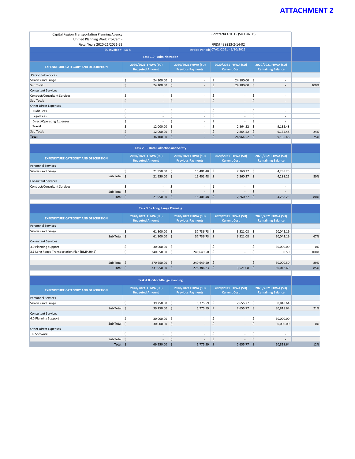## **ATTACHMENT 2**

| Contract# G1L 15 (SU FUNDS)<br>Capital Region Transportation Planning Agency<br>Unified Planning Work Program - |                                                                                                                                                                                                   |                          |    |        |         |                                        |     |          |      |
|-----------------------------------------------------------------------------------------------------------------|---------------------------------------------------------------------------------------------------------------------------------------------------------------------------------------------------|--------------------------|----|--------|---------|----------------------------------------|-----|----------|------|
| Fiscal Years 2020-21/2021-22                                                                                    |                                                                                                                                                                                                   |                          |    |        |         | FPID# 439323-2-14-02                   |     |          |      |
| SU Invoice #: SU-5                                                                                              |                                                                                                                                                                                                   |                          |    |        |         | Invoice Period: 07/01/2021 - 9/30/2021 |     |          |      |
| <b>Task 1.0 - Administration</b>                                                                                |                                                                                                                                                                                                   |                          |    |        |         |                                        |     |          |      |
| <b>EXPENDITURE CATEGORY AND DESCRIPTION</b>                                                                     | 2020/2021 FHWA (SU)<br>2020/2021 FHWA (SU)<br>2020/2021 FHWA (SU)<br>2020/2021 FHWA (SU)<br><b>Budgeted Amount</b><br><b>Remaining Balance</b><br><b>Previous Payments</b><br><b>Current Cost</b> |                          |    |        |         |                                        |     |          |      |
| <b>Personnel Services</b>                                                                                       |                                                                                                                                                                                                   |                          |    |        |         |                                        |     |          |      |
| Salaries and Fringe                                                                                             | \$                                                                                                                                                                                                | $24,100.00$ \$           |    | ٠      | Ś       | 24,100.00                              | \$  | ٠        |      |
| Sub Total:                                                                                                      | Ś                                                                                                                                                                                                 | $24,100.00$ \$           |    | $\sim$ | Ŝ.      | $24,100.00$ \$                         |     | ۰.       | 100% |
| <b>Consultant Services</b>                                                                                      |                                                                                                                                                                                                   |                          |    |        |         |                                        |     |          |      |
| Contract/Consultant Services                                                                                    | \$                                                                                                                                                                                                | ٠                        | \$ | ×.     | \$      | ٠                                      | Ŝ.  | ٠        |      |
| Sub Total:                                                                                                      | \$                                                                                                                                                                                                | $\overline{\phantom{a}}$ | \$ | ٠      | $\zeta$ | $\sim$                                 | \$  | ۰.       |      |
| <b>Other Direct Expenses</b>                                                                                    |                                                                                                                                                                                                   |                          |    |        |         |                                        |     |          |      |
| <b>Audit Fees</b>                                                                                               | \$                                                                                                                                                                                                | ٠                        | \$ | ×.     | \$      | ٠                                      | \$  | ٠        |      |
| Legal Fees                                                                                                      | \$                                                                                                                                                                                                | ٠                        | \$ | ×.     | Ś       | $\sim$                                 |     | ۰        |      |
| Direct/Operating Expenses                                                                                       | \$                                                                                                                                                                                                |                          | Ŝ. |        | Ś       |                                        | \$  |          |      |
| Travel                                                                                                          | \$                                                                                                                                                                                                | 12,000.00                | Ŝ. | ×.     | Ś       | 2,864.52                               | -\$ | 9,135.48 |      |
| Sub Total:                                                                                                      | Ś                                                                                                                                                                                                 | $12,000.00$ \$           |    |        | S       | $2,864.52$ \$                          |     | 9,135.48 | 24%  |
| Total:                                                                                                          |                                                                                                                                                                                                   | 36,100.00 \$             |    |        |         | 26,964.52 \$                           |     | 9,135.48 | 75%  |

| <b>Task 2.0 - Data Collection and Safety</b> |  |                                               |  |                                                 |    |                                            |    |                                                 |     |  |
|----------------------------------------------|--|-----------------------------------------------|--|-------------------------------------------------|----|--------------------------------------------|----|-------------------------------------------------|-----|--|
| <b>EXPENDITURE CATEGORY AND DESCRIPTION</b>  |  | 2020/2021 FHWA (SU)<br><b>Budgeted Amount</b> |  | 2020/2021 FHWA (SU)<br><b>Previous Payments</b> |    | 2020/2021 FHWA (SU)<br><b>Current Cost</b> |    | 2020/2021 FHWA (SU)<br><b>Remaining Balance</b> |     |  |
| <b>Personnel Services</b>                    |  |                                               |  |                                                 |    |                                            |    |                                                 |     |  |
| Salaries and Fringe                          |  | $21,950.00$ \$                                |  | 15,401.48                                       | -S | $2,260.27$ \$                              |    | 4,288.25                                        |     |  |
| Sub Total: \$                                |  | $21,950.00$ \$                                |  | $15,401.48$ \$                                  |    | $2,260.27$ \$                              |    | 4,288.25                                        | 80% |  |
| <b>Consultant Services</b>                   |  |                                               |  |                                                 |    |                                            |    |                                                 |     |  |
| Contract/Consultant Services                 |  |                                               |  | . .                                             |    |                                            |    | $\sim$                                          |     |  |
| Sub Total: \$                                |  | $\sim$                                        |  | a.                                              |    | $\sim$                                     |    | $\overline{a}$                                  |     |  |
| Total: \$                                    |  | 21,950.00 \$                                  |  | 15.401.48                                       | -S | 2,260.27                                   | -S | 4,288.25                                        | 80% |  |
|                                              |  |                                               |  |                                                 |    |                                            |    |                                                 |     |  |

| <b>Task 3.0 - Long Range Planning</b>         |  |                                               |                                                 |                 |                                            |               |                                                 |           |      |  |
|-----------------------------------------------|--|-----------------------------------------------|-------------------------------------------------|-----------------|--------------------------------------------|---------------|-------------------------------------------------|-----------|------|--|
| <b>EXPENDITURE CATEGORY AND DESCRIPTION</b>   |  | 2020/2021 FHWA (SU)<br><b>Budgeted Amount</b> | 2020/2021 FHWA (SU)<br><b>Previous Payments</b> |                 | 2020/2021 FHWA (SU)<br><b>Current Cost</b> |               | 2020/2021 FHWA (SU)<br><b>Remaining Balance</b> |           |      |  |
| <b>Personnel Services</b>                     |  |                                               |                                                 |                 |                                            |               |                                                 |           |      |  |
| Salaries and Fringe                           |  | $61,300.00$ \$                                |                                                 | $37,736.73$ \$  |                                            | $3,521.08$ \$ |                                                 | 20,042.19 |      |  |
| Sub Total: \$                                 |  | $61,300.00$ \$                                |                                                 | $37,736.73$ \$  |                                            | $3,521.08$ \$ |                                                 | 20,042.19 | 67%  |  |
| <b>Consultant Services</b>                    |  |                                               |                                                 |                 |                                            |               |                                                 |           |      |  |
| 3.0 Planning Support                          |  | $30,000.00$ \$                                |                                                 | $\sim$          |                                            | $\sim$        |                                                 | 30,000.00 | 0%   |  |
| 3.1 Long Range Transportation Plan (RMP 2045) |  | $240,650.00$ \$                               |                                                 | 240,649.50      | -S                                         | $\sim$        |                                                 | 0.50      | 100% |  |
|                                               |  |                                               |                                                 |                 |                                            |               |                                                 |           |      |  |
| Sub Total: \$                                 |  | $270,650.00$ \$                               |                                                 | $240,649.50$ \$ |                                            | $\sim$        | Ŝ                                               | 30,000.50 | 89%  |  |
| Total: \$                                     |  | 331,950.00 \$                                 |                                                 | 278,386.23      | -S                                         | $3,521.08$ \$ |                                                 | 50,042.69 | 85%  |  |
|                                               |  |                                               |                                                 |                 |                                            |               |                                                 |           |      |  |

| <b>Task 4.0 - Short-Range Planning</b>      |  |                                               |  |                                                 |    |                                            |     |                                                 |     |  |  |
|---------------------------------------------|--|-----------------------------------------------|--|-------------------------------------------------|----|--------------------------------------------|-----|-------------------------------------------------|-----|--|--|
| <b>EXPENDITURE CATEGORY AND DESCRIPTION</b> |  | 2020/2021 FHWA (SU)<br><b>Budgeted Amount</b> |  | 2020/2021 FHWA (SU)<br><b>Previous Payments</b> |    | 2020/2021 FHWA (SU)<br><b>Current Cost</b> |     | 2020/2021 FHWA (SU)<br><b>Remaining Balance</b> |     |  |  |
| <b>Personnel Services</b>                   |  |                                               |  |                                                 |    |                                            |     |                                                 |     |  |  |
| Salaries and Fringe                         |  | $39,250.00$ \$                                |  | 5,775.59                                        | -5 | 2,655.77                                   | - S | 30,818.64                                       |     |  |  |
| Sub Total: \$                               |  | $39,250.00$ \$                                |  | 5,775.59                                        | -S | $2,655.77$ \$                              |     | 30,818.64                                       | 21% |  |  |
| <b>Consultant Services</b>                  |  |                                               |  |                                                 |    |                                            |     |                                                 |     |  |  |
| 4.0 Planning Support                        |  | $30,000.00$ \$                                |  | $\sim$                                          |    |                                            |     | 30,000.00                                       |     |  |  |
| Sub Total: \$                               |  | $30,000.00$ \$                                |  | $\sim$                                          |    | $\sim$                                     |     | 30,000.00                                       | 0%  |  |  |
| <b>Other Direct Expenses</b>                |  |                                               |  |                                                 |    |                                            |     |                                                 |     |  |  |
| <b>TIP Software</b>                         |  | $\sim$                                        |  | ж.                                              |    |                                            |     | $\overline{\phantom{a}}$                        |     |  |  |
| Sub Total: \$                               |  | $\sim$                                        |  | A.                                              |    | $\sim$                                     |     | ٠                                               |     |  |  |
| Total: \$                                   |  | 69,250.00 \$                                  |  | 5,775.59                                        | P. | 2,655.77                                   |     | 60,818.64                                       | 12% |  |  |